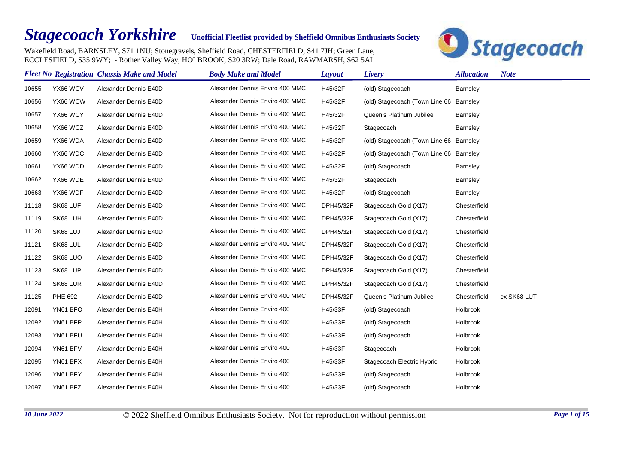## *Stagecoach Yorkshire*

## **Unofficial Fleetlist provided by Sheffield Omnibus Enthusiasts Society**

Wakefield Road, BARNSLEY, S71 1NU; Stonegravels, Sheffield Road, CHESTERFIELD, S41 7JH; Green Lane, ECCLESFIELD, S35 9WY; - Rother Valley Way, HOLBROOK, S20 3RW; Dale Road, RAWMARSH, S62 5AL



|       |                | <b>Fleet No Registration Chassis Make and Model</b> | <b>Body Make and Model</b>      | <b>Layout</b> | Livery                                  | <b>Allocation</b> | <b>Note</b> |
|-------|----------------|-----------------------------------------------------|---------------------------------|---------------|-----------------------------------------|-------------------|-------------|
| 10655 | YX66 WCV       | Alexander Dennis E40D                               | Alexander Dennis Enviro 400 MMC | H45/32F       | (old) Stagecoach                        | Barnsley          |             |
| 10656 | YX66 WCW       | Alexander Dennis E40D                               | Alexander Dennis Enviro 400 MMC | H45/32F       | (old) Stagecoach (Town Line 66 Barnsley |                   |             |
| 10657 | YX66 WCY       | Alexander Dennis E40D                               | Alexander Dennis Enviro 400 MMC | H45/32F       | Queen's Platinum Jubilee                | Barnsley          |             |
| 10658 | YX66 WCZ       | Alexander Dennis E40D                               | Alexander Dennis Enviro 400 MMC | H45/32F       | Stagecoach                              | Barnsley          |             |
| 10659 | YX66 WDA       | Alexander Dennis E40D                               | Alexander Dennis Enviro 400 MMC | H45/32F       | (old) Stagecoach (Town Line 66 Barnsley |                   |             |
| 10660 | YX66 WDC       | Alexander Dennis E40D                               | Alexander Dennis Enviro 400 MMC | H45/32F       | (old) Stagecoach (Town Line 66 Barnsley |                   |             |
| 10661 | YX66 WDD       | Alexander Dennis E40D                               | Alexander Dennis Enviro 400 MMC | H45/32F       | (old) Stagecoach                        | Barnsley          |             |
| 10662 | YX66 WDE       | Alexander Dennis E40D                               | Alexander Dennis Enviro 400 MMC | H45/32F       | Stagecoach                              | Barnsley          |             |
| 10663 | YX66 WDF       | Alexander Dennis E40D                               | Alexander Dennis Enviro 400 MMC | H45/32F       | (old) Stagecoach                        | <b>Barnsley</b>   |             |
| 11118 | SK68 LUF       | Alexander Dennis E40D                               | Alexander Dennis Enviro 400 MMC | DPH45/32F     | Stagecoach Gold (X17)                   | Chesterfield      |             |
| 11119 | SK68 LUH       | Alexander Dennis E40D                               | Alexander Dennis Enviro 400 MMC | DPH45/32F     | Stagecoach Gold (X17)                   | Chesterfield      |             |
| 11120 | SK68 LUJ       | Alexander Dennis E40D                               | Alexander Dennis Enviro 400 MMC | DPH45/32F     | Stagecoach Gold (X17)                   | Chesterfield      |             |
| 11121 | SK68 LUL       | Alexander Dennis E40D                               | Alexander Dennis Enviro 400 MMC | DPH45/32F     | Stagecoach Gold (X17)                   | Chesterfield      |             |
| 11122 | SK68 LUO       | Alexander Dennis E40D                               | Alexander Dennis Enviro 400 MMC | DPH45/32F     | Stagecoach Gold (X17)                   | Chesterfield      |             |
| 11123 | SK68 LUP       | Alexander Dennis E40D                               | Alexander Dennis Enviro 400 MMC | DPH45/32F     | Stagecoach Gold (X17)                   | Chesterfield      |             |
| 11124 | SK68 LUR       | Alexander Dennis E40D                               | Alexander Dennis Enviro 400 MMC | DPH45/32F     | Stagecoach Gold (X17)                   | Chesterfield      |             |
| 11125 | <b>PHE 692</b> | Alexander Dennis E40D                               | Alexander Dennis Enviro 400 MMC | DPH45/32F     | Queen's Platinum Jubilee                | Chesterfield      | ex SK68 LUT |
| 12091 | YN61 BFO       | Alexander Dennis E40H                               | Alexander Dennis Enviro 400     | H45/33F       | (old) Stagecoach                        | Holbrook          |             |
| 12092 | YN61 BFP       | Alexander Dennis E40H                               | Alexander Dennis Enviro 400     | H45/33F       | (old) Stagecoach                        | Holbrook          |             |
| 12093 | YN61 BFU       | Alexander Dennis E40H                               | Alexander Dennis Enviro 400     | H45/33F       | (old) Stagecoach                        | Holbrook          |             |
| 12094 | YN61 BFV       | Alexander Dennis E40H                               | Alexander Dennis Enviro 400     | H45/33F       | Stagecoach                              | Holbrook          |             |
| 12095 | YN61 BFX       | Alexander Dennis E40H                               | Alexander Dennis Enviro 400     | H45/33F       | Stagecoach Electric Hybrid              | Holbrook          |             |
| 12096 | YN61 BFY       | Alexander Dennis E40H                               | Alexander Dennis Enviro 400     | H45/33F       | (old) Stagecoach                        | Holbrook          |             |
| 12097 | YN61 BFZ       | Alexander Dennis E40H                               | Alexander Dennis Enviro 400     | H45/33F       | (old) Stagecoach                        | Holbrook          |             |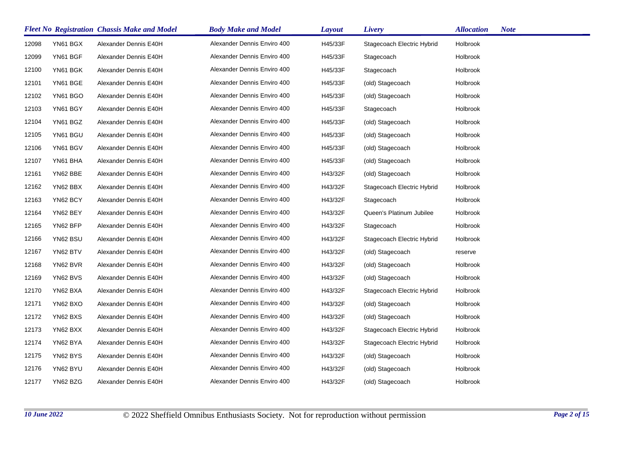|       |          | <b>Fleet No Registration Chassis Make and Model</b> | <b>Body Make and Model</b>  | <b>Layout</b> | Livery                     | <b>Allocation</b> | <b>Note</b> |
|-------|----------|-----------------------------------------------------|-----------------------------|---------------|----------------------------|-------------------|-------------|
| 12098 | YN61 BGX | Alexander Dennis E40H                               | Alexander Dennis Enviro 400 | H45/33F       | Stagecoach Electric Hybrid | Holbrook          |             |
| 12099 | YN61 BGF | Alexander Dennis E40H                               | Alexander Dennis Enviro 400 | H45/33F       | Stagecoach                 | Holbrook          |             |
| 12100 | YN61 BGK | Alexander Dennis E40H                               | Alexander Dennis Enviro 400 | H45/33F       | Stagecoach                 | Holbrook          |             |
| 12101 | YN61 BGE | Alexander Dennis E40H                               | Alexander Dennis Enviro 400 | H45/33F       | (old) Stagecoach           | Holbrook          |             |
| 12102 | YN61 BGO | Alexander Dennis E40H                               | Alexander Dennis Enviro 400 | H45/33F       | (old) Stagecoach           | Holbrook          |             |
| 12103 | YN61 BGY | Alexander Dennis E40H                               | Alexander Dennis Enviro 400 | H45/33F       | Stagecoach                 | Holbrook          |             |
| 12104 | YN61 BGZ | Alexander Dennis E40H                               | Alexander Dennis Enviro 400 | H45/33F       | (old) Stagecoach           | Holbrook          |             |
| 12105 | YN61 BGU | Alexander Dennis E40H                               | Alexander Dennis Enviro 400 | H45/33F       | (old) Stagecoach           | Holbrook          |             |
| 12106 | YN61 BGV | Alexander Dennis E40H                               | Alexander Dennis Enviro 400 | H45/33F       | (old) Stagecoach           | Holbrook          |             |
| 12107 | YN61 BHA | Alexander Dennis E40H                               | Alexander Dennis Enviro 400 | H45/33F       | (old) Stagecoach           | Holbrook          |             |
| 12161 | YN62 BBE | Alexander Dennis E40H                               | Alexander Dennis Enviro 400 | H43/32F       | (old) Stagecoach           | Holbrook          |             |
| 12162 | YN62 BBX | Alexander Dennis E40H                               | Alexander Dennis Enviro 400 | H43/32F       | Stagecoach Electric Hybrid | Holbrook          |             |
| 12163 | YN62 BCY | Alexander Dennis E40H                               | Alexander Dennis Enviro 400 | H43/32F       | Stagecoach                 | Holbrook          |             |
| 12164 | YN62 BEY | Alexander Dennis E40H                               | Alexander Dennis Enviro 400 | H43/32F       | Queen's Platinum Jubilee   | Holbrook          |             |
| 12165 | YN62 BFP | Alexander Dennis E40H                               | Alexander Dennis Enviro 400 | H43/32F       | Stagecoach                 | Holbrook          |             |
| 12166 | YN62 BSU | Alexander Dennis E40H                               | Alexander Dennis Enviro 400 | H43/32F       | Stagecoach Electric Hybrid | Holbrook          |             |
| 12167 | YN62 BTV | Alexander Dennis E40H                               | Alexander Dennis Enviro 400 | H43/32F       | (old) Stagecoach           | reserve           |             |
| 12168 | YN62 BVR | Alexander Dennis E40H                               | Alexander Dennis Enviro 400 | H43/32F       | (old) Stagecoach           | Holbrook          |             |
| 12169 | YN62 BVS | Alexander Dennis E40H                               | Alexander Dennis Enviro 400 | H43/32F       | (old) Stagecoach           | Holbrook          |             |
| 12170 | YN62 BXA | Alexander Dennis E40H                               | Alexander Dennis Enviro 400 | H43/32F       | Stagecoach Electric Hybrid | Holbrook          |             |
| 12171 | YN62 BXO | Alexander Dennis E40H                               | Alexander Dennis Enviro 400 | H43/32F       | (old) Stagecoach           | Holbrook          |             |
| 12172 | YN62 BXS | Alexander Dennis E40H                               | Alexander Dennis Enviro 400 | H43/32F       | (old) Stagecoach           | Holbrook          |             |
| 12173 | YN62 BXX | Alexander Dennis E40H                               | Alexander Dennis Enviro 400 | H43/32F       | Stagecoach Electric Hybrid | Holbrook          |             |
| 12174 | YN62 BYA | Alexander Dennis E40H                               | Alexander Dennis Enviro 400 | H43/32F       | Stagecoach Electric Hybrid | Holbrook          |             |
| 12175 | YN62 BYS | Alexander Dennis E40H                               | Alexander Dennis Enviro 400 | H43/32F       | (old) Stagecoach           | Holbrook          |             |
| 12176 | YN62 BYU | Alexander Dennis E40H                               | Alexander Dennis Enviro 400 | H43/32F       | (old) Stagecoach           | Holbrook          |             |
| 12177 | YN62 BZG | Alexander Dennis E40H                               | Alexander Dennis Enviro 400 | H43/32F       | (old) Stagecoach           | Holbrook          |             |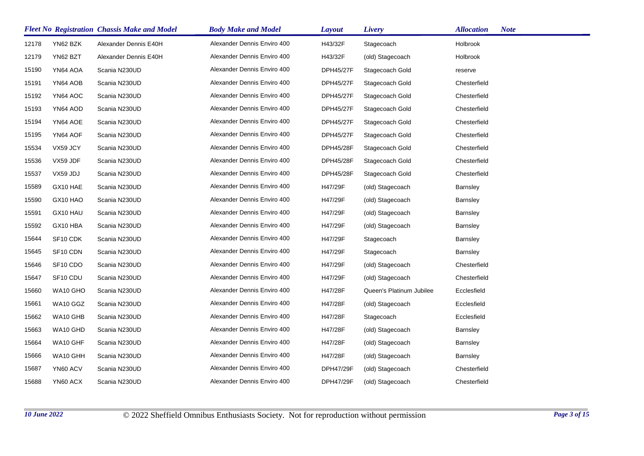|       |                      | <b>Fleet No Registration Chassis Make and Model</b> | <b>Body Make and Model</b>  | Layout           | Livery                   | <b>Allocation</b> | <b>Note</b> |
|-------|----------------------|-----------------------------------------------------|-----------------------------|------------------|--------------------------|-------------------|-------------|
| 12178 | YN62 BZK             | Alexander Dennis E40H                               | Alexander Dennis Enviro 400 | H43/32F          | Stagecoach               | Holbrook          |             |
| 12179 | YN62 BZT             | Alexander Dennis E40H                               | Alexander Dennis Enviro 400 | H43/32F          | (old) Stagecoach         | Holbrook          |             |
| 15190 | YN64 AOA             | Scania N230UD                                       | Alexander Dennis Enviro 400 | <b>DPH45/27F</b> | Stagecoach Gold          | reserve           |             |
| 15191 | YN64 AOB             | Scania N230UD                                       | Alexander Dennis Enviro 400 | DPH45/27F        | Stagecoach Gold          | Chesterfield      |             |
| 15192 | YN64 AOC             | Scania N230UD                                       | Alexander Dennis Enviro 400 | DPH45/27F        | Stagecoach Gold          | Chesterfield      |             |
| 15193 | YN64 AOD             | Scania N230UD                                       | Alexander Dennis Enviro 400 | DPH45/27F        | Stagecoach Gold          | Chesterfield      |             |
| 15194 | YN64 AOE             | Scania N230UD                                       | Alexander Dennis Enviro 400 | <b>DPH45/27F</b> | Stagecoach Gold          | Chesterfield      |             |
| 15195 | YN64 AOF             | Scania N230UD                                       | Alexander Dennis Enviro 400 | DPH45/27F        | Stagecoach Gold          | Chesterfield      |             |
| 15534 | VX59 JCY             | Scania N230UD                                       | Alexander Dennis Enviro 400 | DPH45/28F        | Stagecoach Gold          | Chesterfield      |             |
| 15536 | VX59 JDF             | Scania N230UD                                       | Alexander Dennis Enviro 400 | DPH45/28F        | Stagecoach Gold          | Chesterfield      |             |
| 15537 | VX59 JDJ             | Scania N230UD                                       | Alexander Dennis Enviro 400 | DPH45/28F        | Stagecoach Gold          | Chesterfield      |             |
| 15589 | GX10 HAE             | Scania N230UD                                       | Alexander Dennis Enviro 400 | H47/29F          | (old) Stagecoach         | <b>Barnsley</b>   |             |
| 15590 | GX10 HAO             | Scania N230UD                                       | Alexander Dennis Enviro 400 | H47/29F          | (old) Stagecoach         | <b>Barnsley</b>   |             |
| 15591 | GX10 HAU             | Scania N230UD                                       | Alexander Dennis Enviro 400 | H47/29F          | (old) Stagecoach         | <b>Barnsley</b>   |             |
| 15592 | GX10 HBA             | Scania N230UD                                       | Alexander Dennis Enviro 400 | H47/29F          | (old) Stagecoach         | Barnsley          |             |
| 15644 | SF <sub>10</sub> CDK | Scania N230UD                                       | Alexander Dennis Enviro 400 | H47/29F          | Stagecoach               | <b>Barnsley</b>   |             |
| 15645 | SF10 CDN             | Scania N230UD                                       | Alexander Dennis Enviro 400 | H47/29F          | Stagecoach               | <b>Barnsley</b>   |             |
| 15646 | SF <sub>10</sub> CDO | Scania N230UD                                       | Alexander Dennis Enviro 400 | H47/29F          | (old) Stagecoach         | Chesterfield      |             |
| 15647 | SF10 CDU             | Scania N230UD                                       | Alexander Dennis Enviro 400 | H47/29F          | (old) Stagecoach         | Chesterfield      |             |
| 15660 | WA10 GHO             | Scania N230UD                                       | Alexander Dennis Enviro 400 | H47/28F          | Queen's Platinum Jubilee | Ecclesfield       |             |
| 15661 | WA10 GGZ             | Scania N230UD                                       | Alexander Dennis Enviro 400 | H47/28F          | (old) Stagecoach         | Ecclesfield       |             |
| 15662 | WA10 GHB             | Scania N230UD                                       | Alexander Dennis Enviro 400 | H47/28F          | Stagecoach               | Ecclesfield       |             |
| 15663 | WA10 GHD             | Scania N230UD                                       | Alexander Dennis Enviro 400 | H47/28F          | (old) Stagecoach         | <b>Barnsley</b>   |             |
| 15664 | WA10 GHF             | Scania N230UD                                       | Alexander Dennis Enviro 400 | H47/28F          | (old) Stagecoach         | <b>Barnsley</b>   |             |
| 15666 | WA10 GHH             | Scania N230UD                                       | Alexander Dennis Enviro 400 | H47/28F          | (old) Stagecoach         | <b>Barnsley</b>   |             |
| 15687 | YN60 ACV             | Scania N230UD                                       | Alexander Dennis Enviro 400 | DPH47/29F        | (old) Stagecoach         | Chesterfield      |             |
| 15688 | YN60 ACX             | Scania N230UD                                       | Alexander Dennis Enviro 400 | DPH47/29F        | (old) Stagecoach         | Chesterfield      |             |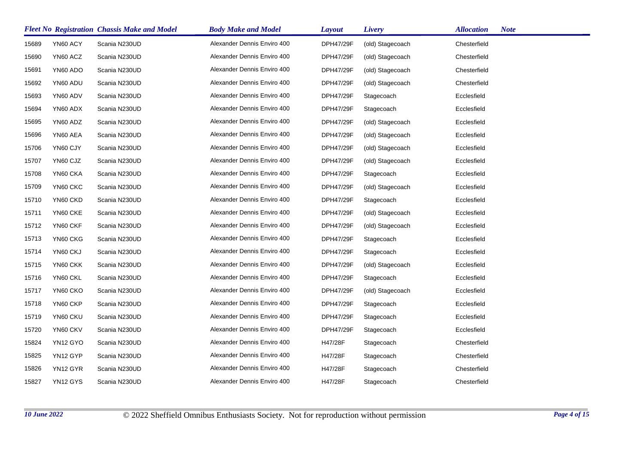|       |          | <b>Fleet No Registration Chassis Make and Model</b> | <b>Body Make and Model</b>  | Layout    | Livery           | <b>Allocation</b> | <b>Note</b> |
|-------|----------|-----------------------------------------------------|-----------------------------|-----------|------------------|-------------------|-------------|
| 15689 | YN60 ACY | Scania N230UD                                       | Alexander Dennis Enviro 400 | DPH47/29F | (old) Stagecoach | Chesterfield      |             |
| 15690 | YN60 ACZ | Scania N230UD                                       | Alexander Dennis Enviro 400 | DPH47/29F | (old) Stagecoach | Chesterfield      |             |
| 15691 | YN60 ADO | Scania N230UD                                       | Alexander Dennis Enviro 400 | DPH47/29F | (old) Stagecoach | Chesterfield      |             |
| 15692 | YN60 ADU | Scania N230UD                                       | Alexander Dennis Enviro 400 | DPH47/29F | (old) Stagecoach | Chesterfield      |             |
| 15693 | YN60 ADV | Scania N230UD                                       | Alexander Dennis Enviro 400 | DPH47/29F | Stagecoach       | Ecclesfield       |             |
| 15694 | YN60 ADX | Scania N230UD                                       | Alexander Dennis Enviro 400 | DPH47/29F | Stagecoach       | Ecclesfield       |             |
| 15695 | YN60 ADZ | Scania N230UD                                       | Alexander Dennis Enviro 400 | DPH47/29F | (old) Stagecoach | Ecclesfield       |             |
| 15696 | YN60 AEA | Scania N230UD                                       | Alexander Dennis Enviro 400 | DPH47/29F | (old) Stagecoach | Ecclesfield       |             |
| 15706 | YN60 CJY | Scania N230UD                                       | Alexander Dennis Enviro 400 | DPH47/29F | (old) Stagecoach | Ecclesfield       |             |
| 15707 | YN60 CJZ | Scania N230UD                                       | Alexander Dennis Enviro 400 | DPH47/29F | (old) Stagecoach | Ecclesfield       |             |
| 15708 | YN60 CKA | Scania N230UD                                       | Alexander Dennis Enviro 400 | DPH47/29F | Stagecoach       | Ecclesfield       |             |
| 15709 | YN60 CKC | Scania N230UD                                       | Alexander Dennis Enviro 400 | DPH47/29F | (old) Stagecoach | Ecclesfield       |             |
| 15710 | YN60 CKD | Scania N230UD                                       | Alexander Dennis Enviro 400 | DPH47/29F | Stagecoach       | Ecclesfield       |             |
| 15711 | YN60 CKE | Scania N230UD                                       | Alexander Dennis Enviro 400 | DPH47/29F | (old) Stagecoach | Ecclesfield       |             |
| 15712 | YN60 CKF | Scania N230UD                                       | Alexander Dennis Enviro 400 | DPH47/29F | (old) Stagecoach | Ecclesfield       |             |
| 15713 | YN60 CKG | Scania N230UD                                       | Alexander Dennis Enviro 400 | DPH47/29F | Stagecoach       | Ecclesfield       |             |
| 15714 | YN60 CKJ | Scania N230UD                                       | Alexander Dennis Enviro 400 | DPH47/29F | Stagecoach       | Ecclesfield       |             |
| 15715 | YN60 CKK | Scania N230UD                                       | Alexander Dennis Enviro 400 | DPH47/29F | (old) Stagecoach | Ecclesfield       |             |
| 15716 | YN60 CKL | Scania N230UD                                       | Alexander Dennis Enviro 400 | DPH47/29F | Stagecoach       | Ecclesfield       |             |
| 15717 | YN60 CKO | Scania N230UD                                       | Alexander Dennis Enviro 400 | DPH47/29F | (old) Stagecoach | Ecclesfield       |             |
| 15718 | YN60 CKP | Scania N230UD                                       | Alexander Dennis Enviro 400 | DPH47/29F | Stagecoach       | Ecclesfield       |             |
| 15719 | YN60 CKU | Scania N230UD                                       | Alexander Dennis Enviro 400 | DPH47/29F | Stagecoach       | Ecclesfield       |             |
| 15720 | YN60 CKV | Scania N230UD                                       | Alexander Dennis Enviro 400 | DPH47/29F | Stagecoach       | Ecclesfield       |             |
| 15824 | YN12 GYO | Scania N230UD                                       | Alexander Dennis Enviro 400 | H47/28F   | Stagecoach       | Chesterfield      |             |
| 15825 | YN12 GYP | Scania N230UD                                       | Alexander Dennis Enviro 400 | H47/28F   | Stagecoach       | Chesterfield      |             |
| 15826 | YN12 GYR | Scania N230UD                                       | Alexander Dennis Enviro 400 | H47/28F   | Stagecoach       | Chesterfield      |             |
| 15827 | YN12 GYS | Scania N230UD                                       | Alexander Dennis Enviro 400 | H47/28F   | Stagecoach       | Chesterfield      |             |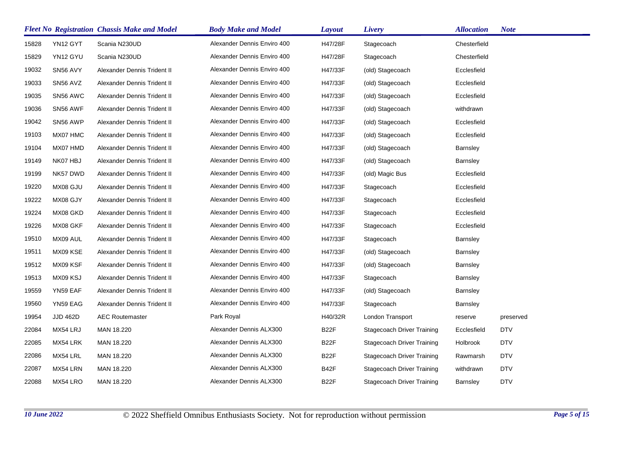|       |                 | <b>Fleet No Registration Chassis Make and Model</b> | <b>Body Make and Model</b>  | Layout            | Livery                            | <b>Allocation</b> | <b>Note</b> |
|-------|-----------------|-----------------------------------------------------|-----------------------------|-------------------|-----------------------------------|-------------------|-------------|
| 15828 | YN12 GYT        | Scania N230UD                                       | Alexander Dennis Enviro 400 | H47/28F           | Stagecoach                        | Chesterfield      |             |
| 15829 | YN12 GYU        | Scania N230UD                                       | Alexander Dennis Enviro 400 | H47/28F           | Stagecoach                        | Chesterfield      |             |
| 19032 | SN56 AVY        | Alexander Dennis Trident II                         | Alexander Dennis Enviro 400 | H47/33F           | (old) Stagecoach                  | Ecclesfield       |             |
| 19033 | SN56 AVZ        | Alexander Dennis Trident II                         | Alexander Dennis Enviro 400 | H47/33F           | (old) Stagecoach                  | Ecclesfield       |             |
| 19035 | SN56 AWC        | Alexander Dennis Trident II                         | Alexander Dennis Enviro 400 | H47/33F           | (old) Stagecoach                  | Ecclesfield       |             |
| 19036 | SN56 AWF        | Alexander Dennis Trident II                         | Alexander Dennis Enviro 400 | H47/33F           | (old) Stagecoach                  | withdrawn         |             |
| 19042 | SN56 AWP        | Alexander Dennis Trident II                         | Alexander Dennis Enviro 400 | H47/33F           | (old) Stagecoach                  | Ecclesfield       |             |
| 19103 | MX07 HMC        | Alexander Dennis Trident II                         | Alexander Dennis Enviro 400 | H47/33F           | (old) Stagecoach                  | Ecclesfield       |             |
| 19104 | MX07 HMD        | Alexander Dennis Trident II                         | Alexander Dennis Enviro 400 | H47/33F           | (old) Stagecoach                  | <b>Barnsley</b>   |             |
| 19149 | NK07 HBJ        | Alexander Dennis Trident II                         | Alexander Dennis Enviro 400 | H47/33F           | (old) Stagecoach                  | <b>Barnsley</b>   |             |
| 19199 | NK57 DWD        | Alexander Dennis Trident II                         | Alexander Dennis Enviro 400 | H47/33F           | (old) Magic Bus                   | Ecclesfield       |             |
| 19220 | MX08 GJU        | Alexander Dennis Trident II                         | Alexander Dennis Enviro 400 | H47/33F           | Stagecoach                        | Ecclesfield       |             |
| 19222 | MX08 GJY        | Alexander Dennis Trident II                         | Alexander Dennis Enviro 400 | H47/33F           | Stagecoach                        | Ecclesfield       |             |
| 19224 | MX08 GKD        | Alexander Dennis Trident II                         | Alexander Dennis Enviro 400 | H47/33F           | Stagecoach                        | Ecclesfield       |             |
| 19226 | MX08 GKF        | Alexander Dennis Trident II                         | Alexander Dennis Enviro 400 | H47/33F           | Stagecoach                        | Ecclesfield       |             |
| 19510 | MX09 AUL        | Alexander Dennis Trident II                         | Alexander Dennis Enviro 400 | H47/33F           | Stagecoach                        | <b>Barnsley</b>   |             |
| 19511 | MX09 KSE        | Alexander Dennis Trident II                         | Alexander Dennis Enviro 400 | H47/33F           | (old) Stagecoach                  | <b>Barnsley</b>   |             |
| 19512 | MX09 KSF        | Alexander Dennis Trident II                         | Alexander Dennis Enviro 400 | H47/33F           | (old) Stagecoach                  | <b>Barnsley</b>   |             |
| 19513 | MX09 KSJ        | Alexander Dennis Trident II                         | Alexander Dennis Enviro 400 | H47/33F           | Stagecoach                        | <b>Barnsley</b>   |             |
| 19559 | YN59 EAF        | Alexander Dennis Trident II                         | Alexander Dennis Enviro 400 | H47/33F           | (old) Stagecoach                  | <b>Barnsley</b>   |             |
| 19560 | YN59 EAG        | Alexander Dennis Trident II                         | Alexander Dennis Enviro 400 | H47/33F           | Stagecoach                        | <b>Barnsley</b>   |             |
| 19954 | <b>JJD 462D</b> | <b>AEC Routemaster</b>                              | Park Royal                  | H40/32R           | London Transport                  | reserve           | preserved   |
| 22084 | MX54 LRJ        | MAN 18.220                                          | Alexander Dennis ALX300     | B <sub>2</sub> 2F | <b>Stagecoach Driver Training</b> | Ecclesfield       | <b>DTV</b>  |
| 22085 | MX54 LRK        | MAN 18.220                                          | Alexander Dennis ALX300     | B <sub>2</sub> 2F | <b>Stagecoach Driver Training</b> | Holbrook          | <b>DTV</b>  |
| 22086 | MX54 LRL        | MAN 18.220                                          | Alexander Dennis ALX300     | B <sub>2</sub> 2F | Stagecoach Driver Training        | Rawmarsh          | <b>DTV</b>  |
| 22087 | MX54 LRN        | MAN 18.220                                          | Alexander Dennis ALX300     | B42F              | Stagecoach Driver Training        | withdrawn         | <b>DTV</b>  |
| 22088 | MX54 LRO        | MAN 18.220                                          | Alexander Dennis ALX300     | B <sub>22</sub> F | Stagecoach Driver Training        | Barnsley          | <b>DTV</b>  |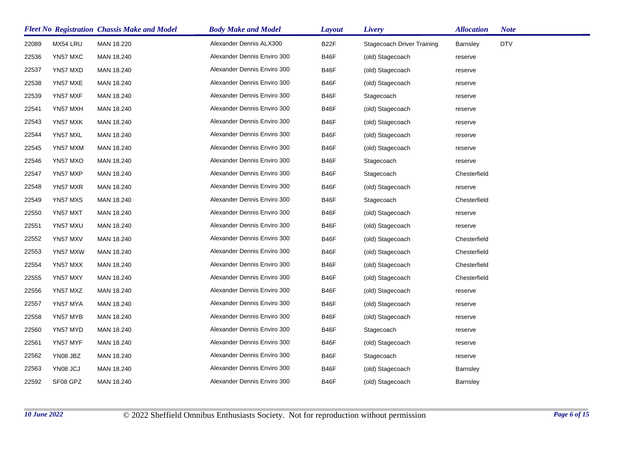|       |          | <b>Fleet No Registration Chassis Make and Model</b> | <b>Body Make and Model</b>  | Layout | Livery                            | <b>Allocation</b> | <b>Note</b> |
|-------|----------|-----------------------------------------------------|-----------------------------|--------|-----------------------------------|-------------------|-------------|
| 22089 | MX54 LRU | MAN 18.220                                          | Alexander Dennis ALX300     | B22F   | <b>Stagecoach Driver Training</b> | <b>Barnsley</b>   | <b>DTV</b>  |
| 22536 | YN57 MXC | MAN 18.240                                          | Alexander Dennis Enviro 300 | B46F   | (old) Stagecoach                  | reserve           |             |
| 22537 | YN57 MXD | MAN 18.240                                          | Alexander Dennis Enviro 300 | B46F   | (old) Stagecoach                  | reserve           |             |
| 22538 | YN57 MXE | MAN 18.240                                          | Alexander Dennis Enviro 300 | B46F   | (old) Stagecoach                  | reserve           |             |
| 22539 | YN57 MXF | MAN 18.240                                          | Alexander Dennis Enviro 300 | B46F   | Stagecoach                        | reserve           |             |
| 22541 | YN57 MXH | MAN 18.240                                          | Alexander Dennis Enviro 300 | B46F   | (old) Stagecoach                  | reserve           |             |
| 22543 | YN57 MXK | MAN 18.240                                          | Alexander Dennis Enviro 300 | B46F   | (old) Stagecoach                  | reserve           |             |
| 22544 | YN57 MXL | MAN 18.240                                          | Alexander Dennis Enviro 300 | B46F   | (old) Stagecoach                  | reserve           |             |
| 22545 | YN57 MXM | MAN 18.240                                          | Alexander Dennis Enviro 300 | B46F   | (old) Stagecoach                  | reserve           |             |
| 22546 | YN57 MXO | MAN 18.240                                          | Alexander Dennis Enviro 300 | B46F   | Stagecoach                        | reserve           |             |
| 22547 | YN57 MXP | MAN 18.240                                          | Alexander Dennis Enviro 300 | B46F   | Stagecoach                        | Chesterfield      |             |
| 22548 | YN57 MXR | MAN 18.240                                          | Alexander Dennis Enviro 300 | B46F   | (old) Stagecoach                  | reserve           |             |
| 22549 | YN57 MXS | MAN 18.240                                          | Alexander Dennis Enviro 300 | B46F   | Stagecoach                        | Chesterfield      |             |
| 22550 | YN57 MXT | MAN 18.240                                          | Alexander Dennis Enviro 300 | B46F   | (old) Stagecoach                  | reserve           |             |
| 22551 | YN57 MXU | MAN 18.240                                          | Alexander Dennis Enviro 300 | B46F   | (old) Stagecoach                  | reserve           |             |
| 22552 | YN57 MXV | MAN 18.240                                          | Alexander Dennis Enviro 300 | B46F   | (old) Stagecoach                  | Chesterfield      |             |
| 22553 | YN57 MXW | MAN 18.240                                          | Alexander Dennis Enviro 300 | B46F   | (old) Stagecoach                  | Chesterfield      |             |
| 22554 | YN57 MXX | MAN 18.240                                          | Alexander Dennis Enviro 300 | B46F   | (old) Stagecoach                  | Chesterfield      |             |
| 22555 | YN57 MXY | MAN 18.240                                          | Alexander Dennis Enviro 300 | B46F   | (old) Stagecoach                  | Chesterfield      |             |
| 22556 | YN57 MXZ | MAN 18.240                                          | Alexander Dennis Enviro 300 | B46F   | (old) Stagecoach                  | reserve           |             |
| 22557 | YN57 MYA | MAN 18.240                                          | Alexander Dennis Enviro 300 | B46F   | (old) Stagecoach                  | reserve           |             |
| 22558 | YN57 MYB | MAN 18.240                                          | Alexander Dennis Enviro 300 | B46F   | (old) Stagecoach                  | reserve           |             |
| 22560 | YN57 MYD | MAN 18.240                                          | Alexander Dennis Enviro 300 | B46F   | Stagecoach                        | reserve           |             |
| 22561 | YN57 MYF | MAN 18.240                                          | Alexander Dennis Enviro 300 | B46F   | (old) Stagecoach                  | reserve           |             |
| 22562 | YN08 JBZ | MAN 18.240                                          | Alexander Dennis Enviro 300 | B46F   | Stagecoach                        | reserve           |             |
| 22563 | YN08 JCJ | MAN 18.240                                          | Alexander Dennis Enviro 300 | B46F   | (old) Stagecoach                  | <b>Barnsley</b>   |             |
| 22592 | SF08 GPZ | MAN 18.240                                          | Alexander Dennis Enviro 300 | B46F   | (old) Stagecoach                  | Barnsley          |             |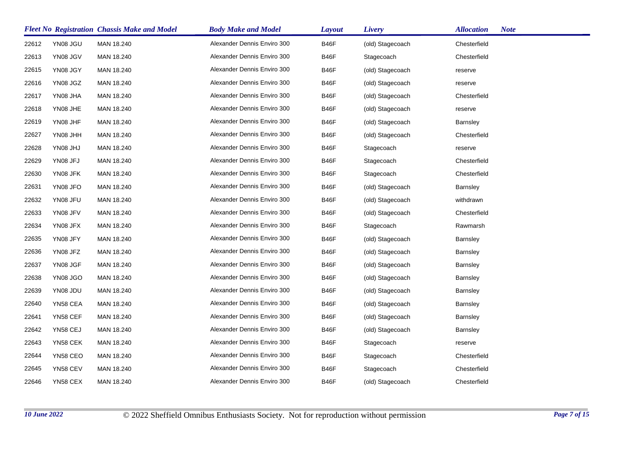|       |                 | <b>Fleet No Registration Chassis Make and Model</b> | <b>Body Make and Model</b>  | Layout      | Livery           | <b>Note</b><br><b>Allocation</b> |
|-------|-----------------|-----------------------------------------------------|-----------------------------|-------------|------------------|----------------------------------|
| 22612 | YN08 JGU        | MAN 18.240                                          | Alexander Dennis Enviro 300 | B46F        | (old) Stagecoach | Chesterfield                     |
| 22613 | YN08 JGV        | MAN 18.240                                          | Alexander Dennis Enviro 300 | <b>B46F</b> | Stagecoach       | Chesterfield                     |
| 22615 | YN08 JGY        | MAN 18.240                                          | Alexander Dennis Enviro 300 | <b>B46F</b> | (old) Stagecoach | reserve                          |
| 22616 | YN08 JGZ        | MAN 18.240                                          | Alexander Dennis Enviro 300 | B46F        | (old) Stagecoach | reserve                          |
| 22617 | YN08 JHA        | MAN 18.240                                          | Alexander Dennis Enviro 300 | <b>B46F</b> | (old) Stagecoach | Chesterfield                     |
| 22618 | YN08 JHE        | MAN 18.240                                          | Alexander Dennis Enviro 300 | B46F        | (old) Stagecoach | reserve                          |
| 22619 | YN08 JHF        | MAN 18.240                                          | Alexander Dennis Enviro 300 | B46F        | (old) Stagecoach | <b>Barnsley</b>                  |
| 22627 | YN08 JHH        | MAN 18.240                                          | Alexander Dennis Enviro 300 | <b>B46F</b> | (old) Stagecoach | Chesterfield                     |
| 22628 | YN08 JHJ        | MAN 18.240                                          | Alexander Dennis Enviro 300 | <b>B46F</b> | Stagecoach       | reserve                          |
| 22629 | YN08 JFJ        | MAN 18.240                                          | Alexander Dennis Enviro 300 | B46F        | Stagecoach       | Chesterfield                     |
| 22630 | YN08 JFK        | MAN 18.240                                          | Alexander Dennis Enviro 300 | <b>B46F</b> | Stagecoach       | Chesterfield                     |
| 22631 | YN08 JFO        | MAN 18.240                                          | Alexander Dennis Enviro 300 | B46F        | (old) Stagecoach | <b>Barnsley</b>                  |
| 22632 | YN08 JFU        | MAN 18.240                                          | Alexander Dennis Enviro 300 | B46F        | (old) Stagecoach | withdrawn                        |
| 22633 | YN08 JFV        | MAN 18.240                                          | Alexander Dennis Enviro 300 | <b>B46F</b> | (old) Stagecoach | Chesterfield                     |
| 22634 | YN08 JFX        | MAN 18.240                                          | Alexander Dennis Enviro 300 | <b>B46F</b> | Stagecoach       | Rawmarsh                         |
| 22635 | YN08 JFY        | MAN 18.240                                          | Alexander Dennis Enviro 300 | <b>B46F</b> | (old) Stagecoach | <b>Barnsley</b>                  |
| 22636 | YN08 JFZ        | MAN 18.240                                          | Alexander Dennis Enviro 300 | <b>B46F</b> | (old) Stagecoach | <b>Barnsley</b>                  |
| 22637 | YN08 JGF        | MAN 18.240                                          | Alexander Dennis Enviro 300 | B46F        | (old) Stagecoach | <b>Barnsley</b>                  |
| 22638 | <b>YN08 JGO</b> | MAN 18.240                                          | Alexander Dennis Enviro 300 | <b>B46F</b> | (old) Stagecoach | <b>Barnsley</b>                  |
| 22639 | YN08 JDU        | MAN 18.240                                          | Alexander Dennis Enviro 300 | <b>B46F</b> | (old) Stagecoach | <b>Barnsley</b>                  |
| 22640 | YN58 CEA        | MAN 18.240                                          | Alexander Dennis Enviro 300 | <b>B46F</b> | (old) Stagecoach | <b>Barnsley</b>                  |
| 22641 | YN58 CEF        | MAN 18.240                                          | Alexander Dennis Enviro 300 | B46F        | (old) Stagecoach | <b>Barnsley</b>                  |
| 22642 | YN58 CEJ        | MAN 18.240                                          | Alexander Dennis Enviro 300 | <b>B46F</b> | (old) Stagecoach | <b>Barnsley</b>                  |
| 22643 | YN58 CEK        | MAN 18.240                                          | Alexander Dennis Enviro 300 | <b>B46F</b> | Stagecoach       | reserve                          |
| 22644 | YN58 CEO        | MAN 18.240                                          | Alexander Dennis Enviro 300 | B46F        | Stagecoach       | Chesterfield                     |
| 22645 | YN58 CEV        | MAN 18.240                                          | Alexander Dennis Enviro 300 | <b>B46F</b> | Stagecoach       | Chesterfield                     |
| 22646 | YN58 CEX        | MAN 18.240                                          | Alexander Dennis Enviro 300 | <b>B46F</b> | (old) Stagecoach | Chesterfield                     |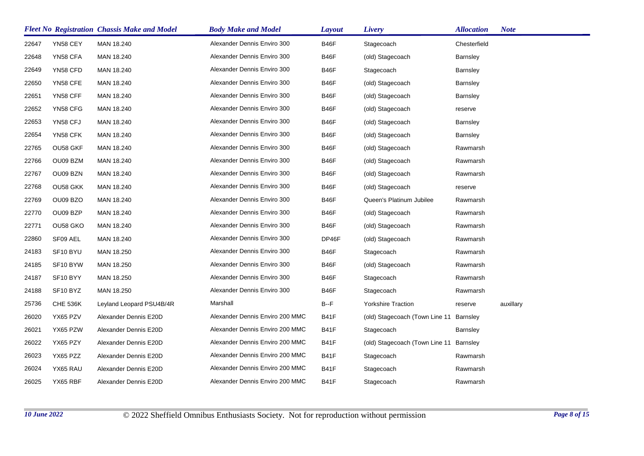|       |                      | <b>Fleet No Registration Chassis Make and Model</b> | <b>Body Make and Model</b>      | <b>Layout</b> | Livery                                  | <b>Allocation</b> | <b>Note</b> |
|-------|----------------------|-----------------------------------------------------|---------------------------------|---------------|-----------------------------------------|-------------------|-------------|
| 22647 | YN58 CEY             | MAN 18.240                                          | Alexander Dennis Enviro 300     | B46F          | Stagecoach                              | Chesterfield      |             |
| 22648 | YN58 CFA             | MAN 18.240                                          | Alexander Dennis Enviro 300     | <b>B46F</b>   | (old) Stagecoach                        | <b>Barnsley</b>   |             |
| 22649 | YN58 CFD             | MAN 18.240                                          | Alexander Dennis Enviro 300     | B46F          | Stagecoach                              | <b>Barnsley</b>   |             |
| 22650 | YN58 CFE             | MAN 18.240                                          | Alexander Dennis Enviro 300     | B46F          | (old) Stagecoach                        | <b>Barnsley</b>   |             |
| 22651 | YN58 CFF             | MAN 18.240                                          | Alexander Dennis Enviro 300     | <b>B46F</b>   | (old) Stagecoach                        | <b>Barnsley</b>   |             |
| 22652 | YN58 CFG             | MAN 18.240                                          | Alexander Dennis Enviro 300     | <b>B46F</b>   | (old) Stagecoach                        | reserve           |             |
| 22653 | YN58 CFJ             | MAN 18.240                                          | Alexander Dennis Enviro 300     | B46F          | (old) Stagecoach                        | <b>Barnsley</b>   |             |
| 22654 | YN58 CFK             | MAN 18.240                                          | Alexander Dennis Enviro 300     | <b>B46F</b>   | (old) Stagecoach                        | <b>Barnsley</b>   |             |
| 22765 | OU58 GKF             | MAN 18.240                                          | Alexander Dennis Enviro 300     | B46F          | (old) Stagecoach                        | Rawmarsh          |             |
| 22766 | OU09 BZM             | MAN 18.240                                          | Alexander Dennis Enviro 300     | <b>B46F</b>   | (old) Stagecoach                        | Rawmarsh          |             |
| 22767 | OU09 BZN             | MAN 18.240                                          | Alexander Dennis Enviro 300     | <b>B46F</b>   | (old) Stagecoach                        | Rawmarsh          |             |
| 22768 | OU58 GKK             | MAN 18.240                                          | Alexander Dennis Enviro 300     | <b>B46F</b>   | (old) Stagecoach                        | reserve           |             |
| 22769 | OU09 BZO             | MAN 18.240                                          | Alexander Dennis Enviro 300     | B46F          | Queen's Platinum Jubilee                | Rawmarsh          |             |
| 22770 | OU09 BZP             | MAN 18.240                                          | Alexander Dennis Enviro 300     | <b>B46F</b>   | (old) Stagecoach                        | Rawmarsh          |             |
| 22771 | OU58 GKO             | MAN 18.240                                          | Alexander Dennis Enviro 300     | B46F          | (old) Stagecoach                        | Rawmarsh          |             |
| 22860 | SF09 AEL             | MAN 18.240                                          | Alexander Dennis Enviro 300     | DP46F         | (old) Stagecoach                        | Rawmarsh          |             |
| 24183 | SF10 BYU             | MAN 18.250                                          | Alexander Dennis Enviro 300     | <b>B46F</b>   | Stagecoach                              | Rawmarsh          |             |
| 24185 | SF <sub>10</sub> BYW | MAN 18.250                                          | Alexander Dennis Enviro 300     | B46F          | (old) Stagecoach                        | Rawmarsh          |             |
| 24187 | SF10 BYY             | MAN 18.250                                          | Alexander Dennis Enviro 300     | <b>B46F</b>   | Stagecoach                              | Rawmarsh          |             |
| 24188 | SF10 BYZ             | MAN 18.250                                          | Alexander Dennis Enviro 300     | B46F          | Stagecoach                              | Rawmarsh          |             |
| 25736 | <b>CHE 536K</b>      | Leyland Leopard PSU4B/4R                            | Marshall                        | $B - F$       | <b>Yorkshire Traction</b>               | reserve           | auxillary   |
| 26020 | YX65 PZV             | Alexander Dennis E20D                               | Alexander Dennis Enviro 200 MMC | <b>B41F</b>   | (old) Stagecoach (Town Line 11 Barnsley |                   |             |
| 26021 | YX65 PZW             | Alexander Dennis E20D                               | Alexander Dennis Enviro 200 MMC | <b>B41F</b>   | Stagecoach                              | <b>Barnsley</b>   |             |
| 26022 | YX65 PZY             | Alexander Dennis E20D                               | Alexander Dennis Enviro 200 MMC | <b>B41F</b>   | (old) Stagecoach (Town Line 11 Barnsley |                   |             |
| 26023 | YX65 PZZ             | Alexander Dennis E20D                               | Alexander Dennis Enviro 200 MMC | <b>B41F</b>   | Stagecoach                              | Rawmarsh          |             |
| 26024 | YX65 RAU             | Alexander Dennis E20D                               | Alexander Dennis Enviro 200 MMC | <b>B41F</b>   | Stagecoach                              | Rawmarsh          |             |
| 26025 | YX65 RBF             | Alexander Dennis E20D                               | Alexander Dennis Enviro 200 MMC | <b>B41F</b>   | Stagecoach                              | Rawmarsh          |             |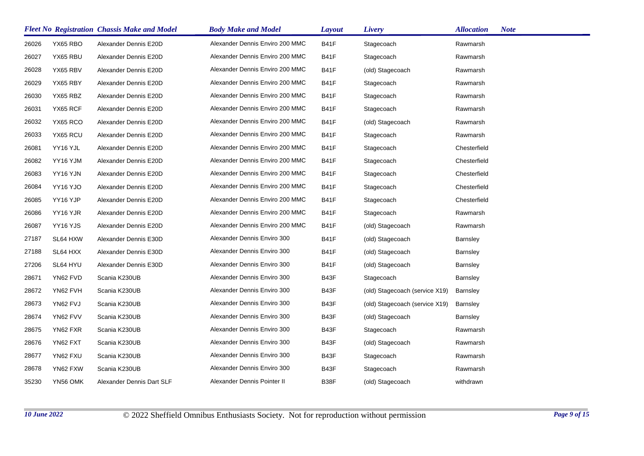|       |                 | <b>Fleet No Registration Chassis Make and Model</b> | <b>Body Make and Model</b>      | Layout      | Livery                         | <b>Note</b><br><b>Allocation</b> |
|-------|-----------------|-----------------------------------------------------|---------------------------------|-------------|--------------------------------|----------------------------------|
| 26026 | YX65 RBO        | Alexander Dennis E20D                               | Alexander Dennis Enviro 200 MMC | <b>B41F</b> | Stagecoach                     | Rawmarsh                         |
| 26027 | YX65 RBU        | Alexander Dennis E20D                               | Alexander Dennis Enviro 200 MMC | B41F        | Stagecoach                     | Rawmarsh                         |
| 26028 | YX65 RBV        | Alexander Dennis E20D                               | Alexander Dennis Enviro 200 MMC | B41F        | (old) Stagecoach               | Rawmarsh                         |
| 26029 | YX65 RBY        | Alexander Dennis E20D                               | Alexander Dennis Enviro 200 MMC | <b>B41F</b> | Stagecoach                     | Rawmarsh                         |
| 26030 | YX65 RBZ        | Alexander Dennis E20D                               | Alexander Dennis Enviro 200 MMC | B41F        | Stagecoach                     | Rawmarsh                         |
| 26031 | YX65 RCF        | Alexander Dennis E20D                               | Alexander Dennis Enviro 200 MMC | B41F        | Stagecoach                     | Rawmarsh                         |
| 26032 | YX65 RCO        | Alexander Dennis E20D                               | Alexander Dennis Enviro 200 MMC | B41F        | (old) Stagecoach               | Rawmarsh                         |
| 26033 | YX65 RCU        | Alexander Dennis E20D                               | Alexander Dennis Enviro 200 MMC | <b>B41F</b> | Stagecoach                     | Rawmarsh                         |
| 26081 | YY16 YJL        | Alexander Dennis E20D                               | Alexander Dennis Enviro 200 MMC | B41F        | Stagecoach                     | Chesterfield                     |
| 26082 | YY16 YJM        | Alexander Dennis E20D                               | Alexander Dennis Enviro 200 MMC | B41F        | Stagecoach                     | Chesterfield                     |
| 26083 | YY16 YJN        | Alexander Dennis E20D                               | Alexander Dennis Enviro 200 MMC | B41F        | Stagecoach                     | Chesterfield                     |
| 26084 | <b>YY16 YJO</b> | Alexander Dennis E20D                               | Alexander Dennis Enviro 200 MMC | <b>B41F</b> | Stagecoach                     | Chesterfield                     |
| 26085 | YY16 YJP        | Alexander Dennis E20D                               | Alexander Dennis Enviro 200 MMC | B41F        | Stagecoach                     | Chesterfield                     |
| 26086 | YY16 YJR        | Alexander Dennis E20D                               | Alexander Dennis Enviro 200 MMC | B41F        | Stagecoach                     | Rawmarsh                         |
| 26087 | YY16 YJS        | Alexander Dennis E20D                               | Alexander Dennis Enviro 200 MMC | B41F        | (old) Stagecoach               | Rawmarsh                         |
| 27187 | SL64 HXW        | Alexander Dennis E30D                               | Alexander Dennis Enviro 300     | B41F        | (old) Stagecoach               | <b>Barnsley</b>                  |
| 27188 | SL64 HXX        | Alexander Dennis E30D                               | Alexander Dennis Enviro 300     | <b>B41F</b> | (old) Stagecoach               | <b>Barnsley</b>                  |
| 27206 | SL64 HYU        | Alexander Dennis E30D                               | Alexander Dennis Enviro 300     | B41F        | (old) Stagecoach               | <b>Barnsley</b>                  |
| 28671 | YN62 FVD        | Scania K230UB                                       | Alexander Dennis Enviro 300     | B43F        | Stagecoach                     | <b>Barnsley</b>                  |
| 28672 | YN62 FVH        | Scania K230UB                                       | Alexander Dennis Enviro 300     | B43F        | (old) Stagecoach (service X19) | <b>Barnsley</b>                  |
| 28673 | YN62 FVJ        | Scania K230UB                                       | Alexander Dennis Enviro 300     | B43F        | (old) Stagecoach (service X19) | <b>Barnsley</b>                  |
| 28674 | YN62 FVV        | Scania K230UB                                       | Alexander Dennis Enviro 300     | B43F        | (old) Stagecoach               | <b>Barnsley</b>                  |
| 28675 | YN62 FXR        | Scania K230UB                                       | Alexander Dennis Enviro 300     | B43F        | Stagecoach                     | Rawmarsh                         |
| 28676 | YN62 FXT        | Scania K230UB                                       | Alexander Dennis Enviro 300     | B43F        | (old) Stagecoach               | Rawmarsh                         |
| 28677 | YN62 FXU        | Scania K230UB                                       | Alexander Dennis Enviro 300     | B43F        | Stagecoach                     | Rawmarsh                         |
| 28678 | YN62 FXW        | Scania K230UB                                       | Alexander Dennis Enviro 300     | B43F        | Stagecoach                     | Rawmarsh                         |
| 35230 | YN56 OMK        | Alexander Dennis Dart SLF                           | Alexander Dennis Pointer II     | B38F        | (old) Stagecoach               | withdrawn                        |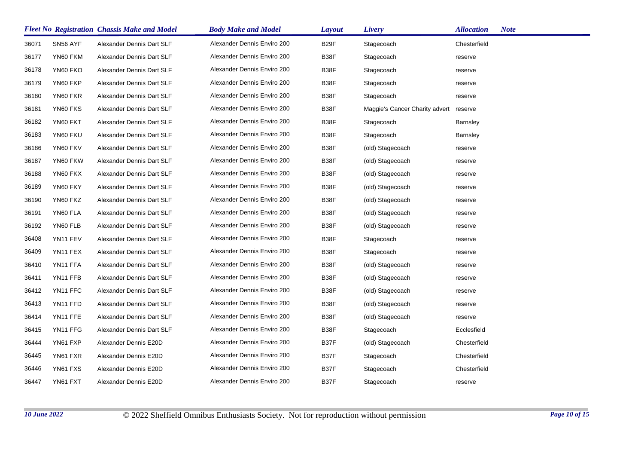|       |          | <b>Fleet No Registration Chassis Make and Model</b> | <b>Body Make and Model</b>  | Layout            | Livery                         | <b>Allocation</b> | <b>Note</b> |
|-------|----------|-----------------------------------------------------|-----------------------------|-------------------|--------------------------------|-------------------|-------------|
| 36071 | SN56 AYF | Alexander Dennis Dart SLF                           | Alexander Dennis Enviro 200 | B <sub>29</sub> F | Stagecoach                     | Chesterfield      |             |
| 36177 | YN60 FKM | Alexander Dennis Dart SLF                           | Alexander Dennis Enviro 200 | B38F              | Stagecoach                     | reserve           |             |
| 36178 | YN60 FKO | Alexander Dennis Dart SLF                           | Alexander Dennis Enviro 200 | B38F              | Stagecoach                     | reserve           |             |
| 36179 | YN60 FKP | Alexander Dennis Dart SLF                           | Alexander Dennis Enviro 200 | B38F              | Stagecoach                     | reserve           |             |
| 36180 | YN60 FKR | Alexander Dennis Dart SLF                           | Alexander Dennis Enviro 200 | B38F              | Stagecoach                     | reserve           |             |
| 36181 | YN60 FKS | Alexander Dennis Dart SLF                           | Alexander Dennis Enviro 200 | B38F              | Maggie's Cancer Charity advert | reserve           |             |
| 36182 | YN60 FKT | Alexander Dennis Dart SLF                           | Alexander Dennis Enviro 200 | B38F              | Stagecoach                     | <b>Barnsley</b>   |             |
| 36183 | YN60 FKU | Alexander Dennis Dart SLF                           | Alexander Dennis Enviro 200 | B38F              | Stagecoach                     | <b>Barnsley</b>   |             |
| 36186 | YN60 FKV | Alexander Dennis Dart SLF                           | Alexander Dennis Enviro 200 | B38F              | (old) Stagecoach               | reserve           |             |
| 36187 | YN60 FKW | Alexander Dennis Dart SLF                           | Alexander Dennis Enviro 200 | B38F              | (old) Stagecoach               | reserve           |             |
| 36188 | YN60 FKX | Alexander Dennis Dart SLF                           | Alexander Dennis Enviro 200 | B38F              | (old) Stagecoach               | reserve           |             |
| 36189 | YN60 FKY | Alexander Dennis Dart SLF                           | Alexander Dennis Enviro 200 | B38F              | (old) Stagecoach               | reserve           |             |
| 36190 | YN60 FKZ | Alexander Dennis Dart SLF                           | Alexander Dennis Enviro 200 | B38F              | (old) Stagecoach               | reserve           |             |
| 36191 | YN60 FLA | Alexander Dennis Dart SLF                           | Alexander Dennis Enviro 200 | B38F              | (old) Stagecoach               | reserve           |             |
| 36192 | YN60 FLB | Alexander Dennis Dart SLF                           | Alexander Dennis Enviro 200 | B38F              | (old) Stagecoach               | reserve           |             |
| 36408 | YN11 FEV | Alexander Dennis Dart SLF                           | Alexander Dennis Enviro 200 | B38F              | Stagecoach                     | reserve           |             |
| 36409 | YN11 FEX | Alexander Dennis Dart SLF                           | Alexander Dennis Enviro 200 | B38F              | Stagecoach                     | reserve           |             |
| 36410 | YN11 FFA | Alexander Dennis Dart SLF                           | Alexander Dennis Enviro 200 | B38F              | (old) Stagecoach               | reserve           |             |
| 36411 | YN11 FFB | Alexander Dennis Dart SLF                           | Alexander Dennis Enviro 200 | B38F              | (old) Stagecoach               | reserve           |             |
| 36412 | YN11 FFC | Alexander Dennis Dart SLF                           | Alexander Dennis Enviro 200 | B38F              | (old) Stagecoach               | reserve           |             |
| 36413 | YN11 FFD | Alexander Dennis Dart SLF                           | Alexander Dennis Enviro 200 | B38F              | (old) Stagecoach               | reserve           |             |
| 36414 | YN11 FFE | Alexander Dennis Dart SLF                           | Alexander Dennis Enviro 200 | B38F              | (old) Stagecoach               | reserve           |             |
| 36415 | YN11 FFG | Alexander Dennis Dart SLF                           | Alexander Dennis Enviro 200 | B38F              | Stagecoach                     | Ecclesfield       |             |
| 36444 | YN61 FXP | Alexander Dennis E20D                               | Alexander Dennis Enviro 200 | B37F              | (old) Stagecoach               | Chesterfield      |             |
| 36445 | YN61 FXR | Alexander Dennis E20D                               | Alexander Dennis Enviro 200 | B37F              | Stagecoach                     | Chesterfield      |             |
| 36446 | YN61 FXS | Alexander Dennis E20D                               | Alexander Dennis Enviro 200 | B37F              | Stagecoach                     | Chesterfield      |             |
| 36447 | YN61 FXT | Alexander Dennis E20D                               | Alexander Dennis Enviro 200 | B37F              | Stagecoach                     | reserve           |             |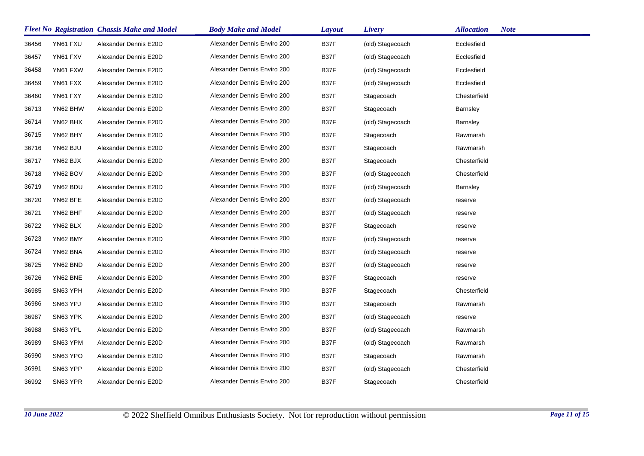|       |          | <b>Fleet No Registration Chassis Make and Model</b> | <b>Body Make and Model</b>  | Layout | Livery           | <b>Note</b><br><b>Allocation</b> |
|-------|----------|-----------------------------------------------------|-----------------------------|--------|------------------|----------------------------------|
| 36456 | YN61 FXU | Alexander Dennis E20D                               | Alexander Dennis Enviro 200 | B37F   | (old) Stagecoach | Ecclesfield                      |
| 36457 | YN61 FXV | Alexander Dennis E20D                               | Alexander Dennis Enviro 200 | B37F   | (old) Stagecoach | Ecclesfield                      |
| 36458 | YN61 FXW | Alexander Dennis E20D                               | Alexander Dennis Enviro 200 | B37F   | (old) Stagecoach | Ecclesfield                      |
| 36459 | YN61 FXX | Alexander Dennis E20D                               | Alexander Dennis Enviro 200 | B37F   | (old) Stagecoach | Ecclesfield                      |
| 36460 | YN61 FXY | Alexander Dennis E20D                               | Alexander Dennis Enviro 200 | B37F   | Stagecoach       | Chesterfield                     |
| 36713 | YN62 BHW | Alexander Dennis E20D                               | Alexander Dennis Enviro 200 | B37F   | Stagecoach       | <b>Barnsley</b>                  |
| 36714 | YN62 BHX | Alexander Dennis E20D                               | Alexander Dennis Enviro 200 | B37F   | (old) Stagecoach | <b>Barnsley</b>                  |
| 36715 | YN62 BHY | Alexander Dennis E20D                               | Alexander Dennis Enviro 200 | B37F   | Stagecoach       | Rawmarsh                         |
| 36716 | YN62 BJU | Alexander Dennis E20D                               | Alexander Dennis Enviro 200 | B37F   | Stagecoach       | Rawmarsh                         |
| 36717 | YN62 BJX | Alexander Dennis E20D                               | Alexander Dennis Enviro 200 | B37F   | Stagecoach       | Chesterfield                     |
| 36718 | YN62 BOV | Alexander Dennis E20D                               | Alexander Dennis Enviro 200 | B37F   | (old) Stagecoach | Chesterfield                     |
| 36719 | YN62 BDU | Alexander Dennis E20D                               | Alexander Dennis Enviro 200 | B37F   | (old) Stagecoach | Barnsley                         |
| 36720 | YN62 BFE | Alexander Dennis E20D                               | Alexander Dennis Enviro 200 | B37F   | (old) Stagecoach | reserve                          |
| 36721 | YN62 BHF | Alexander Dennis E20D                               | Alexander Dennis Enviro 200 | B37F   | (old) Stagecoach | reserve                          |
| 36722 | YN62 BLX | Alexander Dennis E20D                               | Alexander Dennis Enviro 200 | B37F   | Stagecoach       | reserve                          |
| 36723 | YN62 BMY | Alexander Dennis E20D                               | Alexander Dennis Enviro 200 | B37F   | (old) Stagecoach | reserve                          |
| 36724 | YN62 BNA | Alexander Dennis E20D                               | Alexander Dennis Enviro 200 | B37F   | (old) Stagecoach | reserve                          |
| 36725 | YN62 BND | Alexander Dennis E20D                               | Alexander Dennis Enviro 200 | B37F   | (old) Stagecoach | reserve                          |
| 36726 | YN62 BNE | Alexander Dennis E20D                               | Alexander Dennis Enviro 200 | B37F   | Stagecoach       | reserve                          |
| 36985 | SN63 YPH | Alexander Dennis E20D                               | Alexander Dennis Enviro 200 | B37F   | Stagecoach       | Chesterfield                     |
| 36986 | SN63 YPJ | Alexander Dennis E20D                               | Alexander Dennis Enviro 200 | B37F   | Stagecoach       | Rawmarsh                         |
| 36987 | SN63 YPK | Alexander Dennis E20D                               | Alexander Dennis Enviro 200 | B37F   | (old) Stagecoach | reserve                          |
| 36988 | SN63 YPL | Alexander Dennis E20D                               | Alexander Dennis Enviro 200 | B37F   | (old) Stagecoach | Rawmarsh                         |
| 36989 | SN63 YPM | Alexander Dennis E20D                               | Alexander Dennis Enviro 200 | B37F   | (old) Stagecoach | Rawmarsh                         |
| 36990 | SN63 YPO | Alexander Dennis E20D                               | Alexander Dennis Enviro 200 | B37F   | Stagecoach       | Rawmarsh                         |
| 36991 | SN63 YPP | Alexander Dennis E20D                               | Alexander Dennis Enviro 200 | B37F   | (old) Stagecoach | Chesterfield                     |
| 36992 | SN63 YPR | Alexander Dennis E20D                               | Alexander Dennis Enviro 200 | B37F   | Stagecoach       | Chesterfield                     |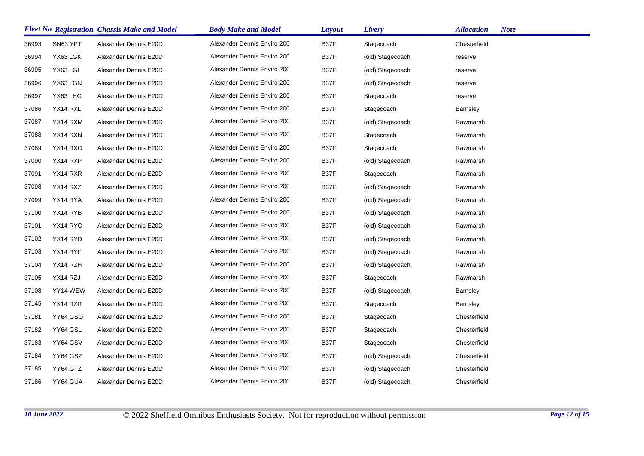|       |          | <b>Fleet No Registration Chassis Make and Model</b> | <b>Body Make and Model</b>  | Layout | Livery           | <b>Note</b><br><b>Allocation</b> |
|-------|----------|-----------------------------------------------------|-----------------------------|--------|------------------|----------------------------------|
| 36993 | SN63 YPT | Alexander Dennis E20D                               | Alexander Dennis Enviro 200 | B37F   | Stagecoach       | Chesterfield                     |
| 36994 | YX63 LGK | Alexander Dennis E20D                               | Alexander Dennis Enviro 200 | B37F   | (old) Stagecoach | reserve                          |
| 36995 | YX63 LGL | Alexander Dennis E20D                               | Alexander Dennis Enviro 200 | B37F   | (old) Stagecoach | reserve                          |
| 36996 | YX63 LGN | Alexander Dennis E20D                               | Alexander Dennis Enviro 200 | B37F   | (old) Stagecoach | reserve                          |
| 36997 | YX63 LHG | Alexander Dennis E20D                               | Alexander Dennis Enviro 200 | B37F   | Stagecoach       | reserve                          |
| 37086 | YX14 RXL | Alexander Dennis E20D                               | Alexander Dennis Enviro 200 | B37F   | Stagecoach       | Barnsley                         |
| 37087 | YX14 RXM | Alexander Dennis E20D                               | Alexander Dennis Enviro 200 | B37F   | (old) Stagecoach | Rawmarsh                         |
| 37088 | YX14 RXN | Alexander Dennis E20D                               | Alexander Dennis Enviro 200 | B37F   | Stagecoach       | Rawmarsh                         |
| 37089 | YX14 RXO | Alexander Dennis E20D                               | Alexander Dennis Enviro 200 | B37F   | Stagecoach       | Rawmarsh                         |
| 37090 | YX14 RXP | Alexander Dennis E20D                               | Alexander Dennis Enviro 200 | B37F   | (old) Stagecoach | Rawmarsh                         |
| 37091 | YX14 RXR | Alexander Dennis E20D                               | Alexander Dennis Enviro 200 | B37F   | Stagecoach       | Rawmarsh                         |
| 37098 | YX14 RXZ | Alexander Dennis E20D                               | Alexander Dennis Enviro 200 | B37F   | (old) Stagecoach | Rawmarsh                         |
| 37099 | YX14 RYA | Alexander Dennis E20D                               | Alexander Dennis Enviro 200 | B37F   | (old) Stagecoach | Rawmarsh                         |
| 37100 | YX14 RYB | Alexander Dennis E20D                               | Alexander Dennis Enviro 200 | B37F   | (old) Stagecoach | Rawmarsh                         |
| 37101 | YX14 RYC | Alexander Dennis E20D                               | Alexander Dennis Enviro 200 | B37F   | (old) Stagecoach | Rawmarsh                         |
| 37102 | YX14 RYD | Alexander Dennis E20D                               | Alexander Dennis Enviro 200 | B37F   | (old) Stagecoach | Rawmarsh                         |
| 37103 | YX14 RYF | Alexander Dennis E20D                               | Alexander Dennis Enviro 200 | B37F   | (old) Stagecoach | Rawmarsh                         |
| 37104 | YX14 RZH | Alexander Dennis E20D                               | Alexander Dennis Enviro 200 | B37F   | (old) Stagecoach | Rawmarsh                         |
| 37105 | YX14 RZJ | Alexander Dennis E20D                               | Alexander Dennis Enviro 200 | B37F   | Stagecoach       | Rawmarsh                         |
| 37108 | YY14 WEW | Alexander Dennis E20D                               | Alexander Dennis Enviro 200 | B37F   | (old) Stagecoach | <b>Barnsley</b>                  |
| 37145 | YX14 RZR | Alexander Dennis E20D                               | Alexander Dennis Enviro 200 | B37F   | Stagecoach       | <b>Barnsley</b>                  |
| 37181 | YY64 GSO | Alexander Dennis E20D                               | Alexander Dennis Enviro 200 | B37F   | Stagecoach       | Chesterfield                     |
| 37182 | YY64 GSU | Alexander Dennis E20D                               | Alexander Dennis Enviro 200 | B37F   | Stagecoach       | Chesterfield                     |
| 37183 | YY64 GSV | Alexander Dennis E20D                               | Alexander Dennis Enviro 200 | B37F   | Stagecoach       | Chesterfield                     |
| 37184 | YY64 GSZ | Alexander Dennis E20D                               | Alexander Dennis Enviro 200 | B37F   | (old) Stagecoach | Chesterfield                     |
| 37185 | YY64 GTZ | Alexander Dennis E20D                               | Alexander Dennis Enviro 200 | B37F   | (old) Stagecoach | Chesterfield                     |
| 37186 | YY64 GUA | Alexander Dennis E20D                               | Alexander Dennis Enviro 200 | B37F   | (old) Stagecoach | Chesterfield                     |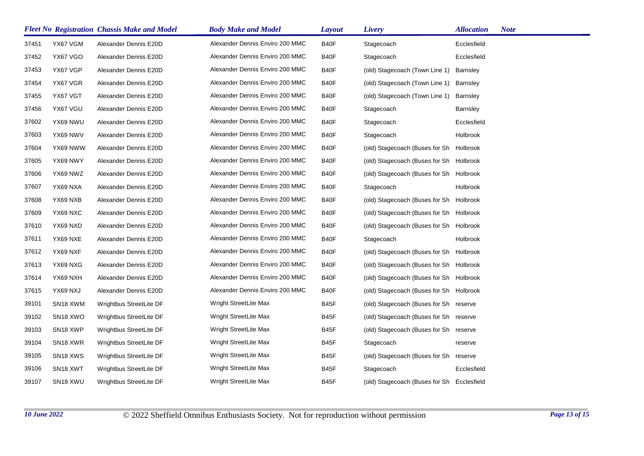|       |                      | <b>Fleet No Registration Chassis Make and Model</b> | <b>Body Make and Model</b>      | <b>Layout</b> | Livery                                     | <b>Allocation</b> | <b>Note</b> |
|-------|----------------------|-----------------------------------------------------|---------------------------------|---------------|--------------------------------------------|-------------------|-------------|
| 37451 | YX67 VGM             | Alexander Dennis E20D                               | Alexander Dennis Enviro 200 MMC | B40F          | Stagecoach                                 | Ecclesfield       |             |
| 37452 | YX67 VGO             | Alexander Dennis E20D                               | Alexander Dennis Enviro 200 MMC | B40F          | Stagecoach                                 | Ecclesfield       |             |
| 37453 | YX67 VGP             | Alexander Dennis E20D                               | Alexander Dennis Enviro 200 MMC | B40F          | (old) Stagecoach (Town Line 1)             | <b>Barnsley</b>   |             |
| 37454 | YX67 VGR             | Alexander Dennis E20D                               | Alexander Dennis Enviro 200 MMC | B40F          | (old) Stagecoach (Town Line 1) Barnsley    |                   |             |
| 37455 | YX67 VGT             | Alexander Dennis E20D                               | Alexander Dennis Enviro 200 MMC | B40F          | (old) Stagecoach (Town Line 1)             | Barnsley          |             |
| 37456 | YX67 VGU             | Alexander Dennis E20D                               | Alexander Dennis Enviro 200 MMC | B40F          | Stagecoach                                 | <b>Barnsley</b>   |             |
| 37602 | YX69 NWU             | Alexander Dennis E20D                               | Alexander Dennis Enviro 200 MMC | B40F          | Stagecoach                                 | Ecclesfield       |             |
| 37603 | YX69 NWV             | Alexander Dennis E20D                               | Alexander Dennis Enviro 200 MMC | B40F          | Stagecoach                                 | Holbrook          |             |
| 37604 | YX69 NWW             | Alexander Dennis E20D                               | Alexander Dennis Enviro 200 MMC | B40F          | (old) Stagecoach (Buses for Sh Holbrook    |                   |             |
| 37605 | YX69 NWY             | Alexander Dennis E20D                               | Alexander Dennis Enviro 200 MMC | B40F          | (old) Stagecoach (Buses for Sh Holbrook    |                   |             |
| 37606 | YX69 NWZ             | Alexander Dennis E20D                               | Alexander Dennis Enviro 200 MMC | B40F          | (old) Stagecoach (Buses for Sh Holbrook    |                   |             |
| 37607 | YX69 NXA             | Alexander Dennis E20D                               | Alexander Dennis Enviro 200 MMC | B40F          | Stagecoach                                 | Holbrook          |             |
| 37608 | YX69 NXB             | Alexander Dennis E20D                               | Alexander Dennis Enviro 200 MMC | B40F          | (old) Stagecoach (Buses for Sh Holbrook    |                   |             |
| 37609 | YX69 NXC             | Alexander Dennis E20D                               | Alexander Dennis Enviro 200 MMC | B40F          | (old) Stagecoach (Buses for Sh Holbrook    |                   |             |
| 37610 | YX69 NXD             | Alexander Dennis E20D                               | Alexander Dennis Enviro 200 MMC | B40F          | (old) Stagecoach (Buses for Sh Holbrook    |                   |             |
| 37611 | YX69 NXE             | Alexander Dennis E20D                               | Alexander Dennis Enviro 200 MMC | B40F          | Stagecoach                                 | Holbrook          |             |
| 37612 | YX69 NXF             | Alexander Dennis E20D                               | Alexander Dennis Enviro 200 MMC | B40F          | (old) Stagecoach (Buses for Sh Holbrook    |                   |             |
| 37613 | YX69 NXG             | Alexander Dennis E20D                               | Alexander Dennis Enviro 200 MMC | B40F          | (old) Stagecoach (Buses for Sh Holbrook    |                   |             |
| 37614 | YX69 NXH             | Alexander Dennis E20D                               | Alexander Dennis Enviro 200 MMC | B40F          | (old) Stagecoach (Buses for Sh Holbrook    |                   |             |
| 37615 | YX69 NXJ             | Alexander Dennis E20D                               | Alexander Dennis Enviro 200 MMC | B40F          | (old) Stagecoach (Buses for Sh Holbrook    |                   |             |
| 39101 | SN18 XWM             | Wrightbus StreetLite DF                             | Wright StreetLite Max           | B45F          | (old) Stagecoach (Buses for Sh reserve     |                   |             |
| 39102 | SN <sub>18</sub> XWO | Wrightbus StreetLite DF                             | Wright StreetLite Max           | B45F          | (old) Stagecoach (Buses for Sh reserve     |                   |             |
| 39103 | SN <sub>18</sub> XWP | Wrightbus StreetLite DF                             | Wright StreetLite Max           | B45F          | (old) Stagecoach (Buses for Sh reserve     |                   |             |
| 39104 | SN <sub>18</sub> XWR | Wrightbus StreetLite DF                             | Wright StreetLite Max           | B45F          | Stagecoach                                 | reserve           |             |
| 39105 | SN <sub>18</sub> XWS | Wrightbus StreetLite DF                             | Wright StreetLite Max           | B45F          | (old) Stagecoach (Buses for Sh reserve     |                   |             |
| 39106 | SN <sub>18</sub> XWT | Wrightbus StreetLite DF                             | Wright StreetLite Max           | B45F          | Stagecoach                                 | Ecclesfield       |             |
| 39107 | SN <sub>18</sub> XWU | Wrightbus StreetLite DF                             | Wright StreetLite Max           | B45F          | (old) Stagecoach (Buses for Sh Ecclesfield |                   |             |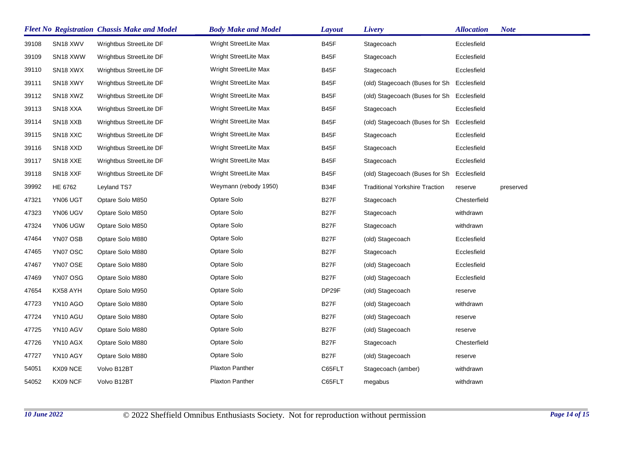|       |                                   | <b>Fleet No Registration Chassis Make and Model</b> | <b>Body Make and Model</b> | <b>Layout</b>     | Livery                                     | <b>Allocation</b> | <b>Note</b> |
|-------|-----------------------------------|-----------------------------------------------------|----------------------------|-------------------|--------------------------------------------|-------------------|-------------|
| 39108 | SN <sub>18</sub> XWV              | Wrightbus StreetLite DF                             | Wright StreetLite Max      | B45F              | Stagecoach                                 | Ecclesfield       |             |
| 39109 | SN <sub>18</sub> XWW              | Wrightbus StreetLite DF                             | Wright StreetLite Max      | B45F              | Stagecoach                                 | Ecclesfield       |             |
| 39110 | SN <sub>18</sub> XW <sub>X</sub>  | Wrightbus StreetLite DF                             | Wright StreetLite Max      | B45F              | Stagecoach                                 | Ecclesfield       |             |
| 39111 | SN <sub>18</sub> XWY              | Wrightbus StreetLite DF                             | Wright StreetLite Max      | B45F              | (old) Stagecoach (Buses for Sh Ecclesfield |                   |             |
| 39112 | SN <sub>18</sub> XWZ              | Wrightbus StreetLite DF                             | Wright StreetLite Max      | B45F              | (old) Stagecoach (Buses for Sh Ecclesfield |                   |             |
| 39113 | SN <sub>18</sub> XXA              | Wrightbus StreetLite DF                             | Wright StreetLite Max      | B45F              | Stagecoach                                 | Ecclesfield       |             |
| 39114 | SN <sub>18</sub> X <sub>X</sub> B | Wrightbus StreetLite DF                             | Wright StreetLite Max      | B45F              | (old) Stagecoach (Buses for Sh             | Ecclesfield       |             |
| 39115 | SN <sub>18</sub> X <sub>X</sub> C | Wrightbus StreetLite DF                             | Wright StreetLite Max      | B45F              | Stagecoach                                 | Ecclesfield       |             |
| 39116 | SN <sub>18</sub> X <sub>XD</sub>  | Wrightbus StreetLite DF                             | Wright StreetLite Max      | B45F              | Stagecoach                                 | Ecclesfield       |             |
| 39117 | SN <sub>18</sub> X <sub>XE</sub>  | Wrightbus StreetLite DF                             | Wright StreetLite Max      | B45F              | Stagecoach                                 | Ecclesfield       |             |
| 39118 | SN <sub>18</sub> X <sub>XF</sub>  | Wrightbus StreetLite DF                             | Wright StreetLite Max      | B45F              | (old) Stagecoach (Buses for Sh             | Ecclesfield       |             |
| 39992 | HE 6762                           | Leyland TS7                                         | Weymann (rebody 1950)      | B34F              | <b>Traditional Yorkshire Traction</b>      | reserve           | preserved   |
| 47321 | YN06 UGT                          | Optare Solo M850                                    | Optare Solo                | <b>B27F</b>       | Stagecoach                                 | Chesterfield      |             |
| 47323 | YN06 UGV                          | Optare Solo M850                                    | Optare Solo                | <b>B27F</b>       | Stagecoach                                 | withdrawn         |             |
| 47324 | YN06 UGW                          | Optare Solo M850                                    | Optare Solo                | <b>B27F</b>       | Stagecoach                                 | withdrawn         |             |
| 47464 | YN07 OSB                          | Optare Solo M880                                    | Optare Solo                | B <sub>27</sub> F | (old) Stagecoach                           | Ecclesfield       |             |
| 47465 | YN07 OSC                          | Optare Solo M880                                    | Optare Solo                | <b>B27F</b>       | Stagecoach                                 | Ecclesfield       |             |
| 47467 | YN07 OSE                          | Optare Solo M880                                    | Optare Solo                | B27F              | (old) Stagecoach                           | Ecclesfield       |             |
| 47469 | YN07 OSG                          | Optare Solo M880                                    | Optare Solo                | <b>B27F</b>       | (old) Stagecoach                           | Ecclesfield       |             |
| 47654 | KX58 AYH                          | Optare Solo M950                                    | Optare Solo                | DP29F             | (old) Stagecoach                           | reserve           |             |
| 47723 | YN10 AGO                          | Optare Solo M880                                    | Optare Solo                | B <sub>27</sub> F | (old) Stagecoach                           | withdrawn         |             |
| 47724 | YN10 AGU                          | Optare Solo M880                                    | Optare Solo                | B <sub>27</sub> F | (old) Stagecoach                           | reserve           |             |
| 47725 | YN10 AGV                          | Optare Solo M880                                    | Optare Solo                | <b>B27F</b>       | (old) Stagecoach                           | reserve           |             |
| 47726 | YN10 AGX                          | Optare Solo M880                                    | Optare Solo                | <b>B27F</b>       | Stagecoach                                 | Chesterfield      |             |
| 47727 | YN10 AGY                          | Optare Solo M880                                    | Optare Solo                | <b>B27F</b>       | (old) Stagecoach                           | reserve           |             |
| 54051 | KX09 NCE                          | Volvo B12BT                                         | Plaxton Panther            | C65FLT            | Stagecoach (amber)                         | withdrawn         |             |
| 54052 | KX09 NCF                          | Volvo B12BT                                         | <b>Plaxton Panther</b>     | C65FLT            | megabus                                    | withdrawn         |             |